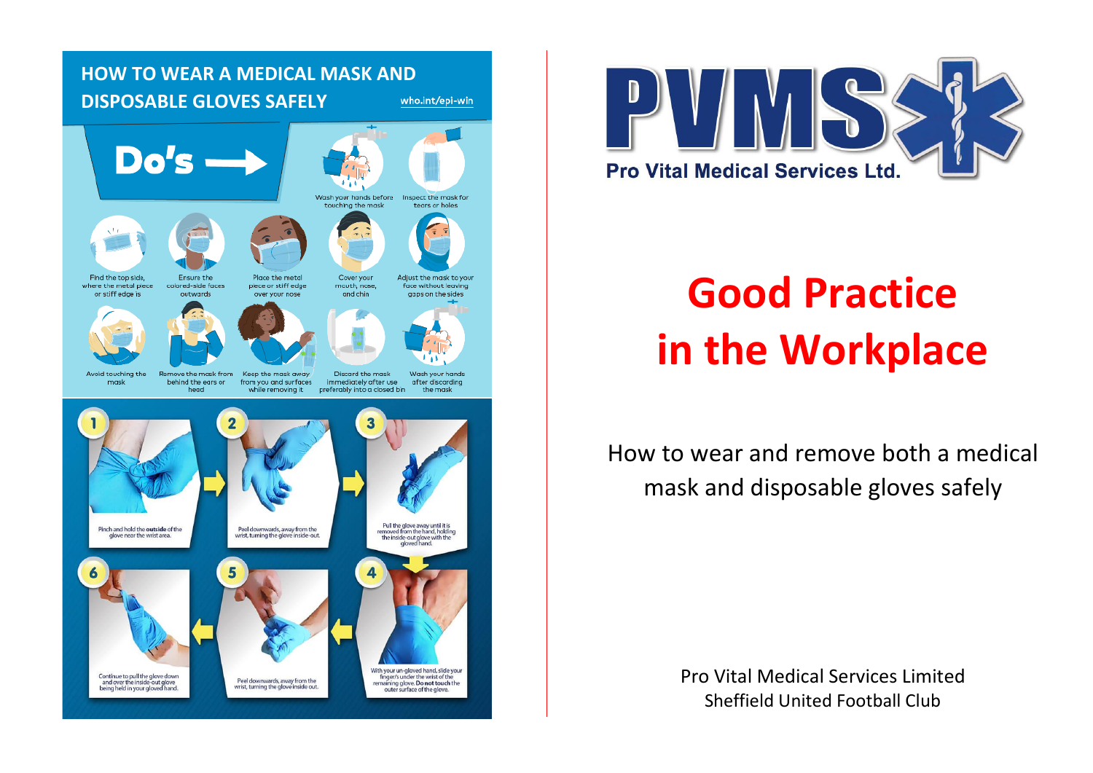



# **Good Practice in the Workplace**

How to wear and remove both a medical mask and disposable gloves safely

> Pro Vital Medical Services Limited Sheffield United Football Club